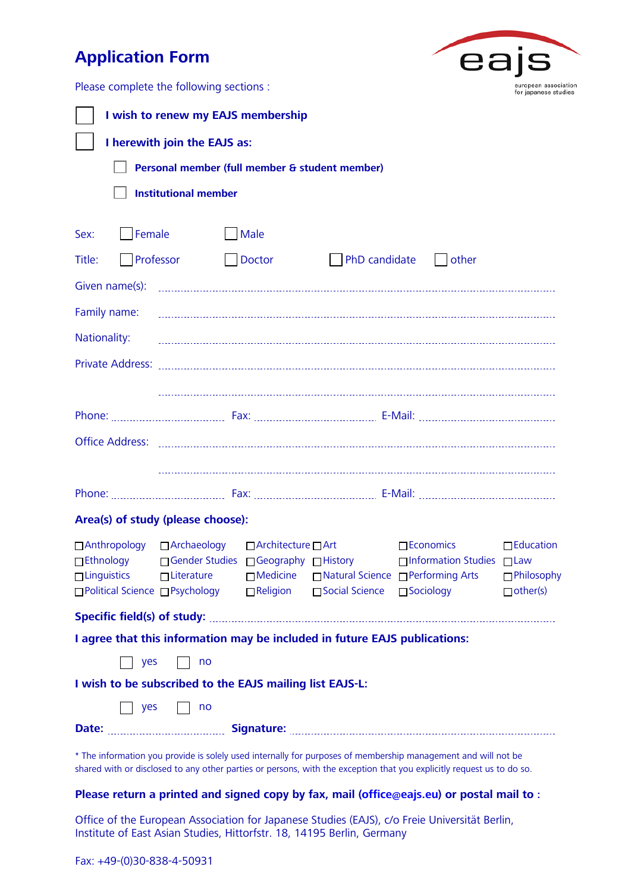# **Application Form**



Please complete the following sections :

| I wish to renew my EAJS membership                                                                                                                                                                                                     |                                                |                 |                              |                                                                                                                                                                                     |                                     |  |  |  |
|----------------------------------------------------------------------------------------------------------------------------------------------------------------------------------------------------------------------------------------|------------------------------------------------|-----------------|------------------------------|-------------------------------------------------------------------------------------------------------------------------------------------------------------------------------------|-------------------------------------|--|--|--|
| I herewith join the EAJS as:                                                                                                                                                                                                           |                                                |                 |                              |                                                                                                                                                                                     |                                     |  |  |  |
|                                                                                                                                                                                                                                        | Personal member (full member & student member) |                 |                              |                                                                                                                                                                                     |                                     |  |  |  |
| <b>Institutional member</b>                                                                                                                                                                                                            |                                                |                 |                              |                                                                                                                                                                                     |                                     |  |  |  |
|                                                                                                                                                                                                                                        |                                                |                 |                              |                                                                                                                                                                                     |                                     |  |  |  |
| Sex: Female                                                                                                                                                                                                                            |                                                | Male            |                              |                                                                                                                                                                                     |                                     |  |  |  |
| Title: Professor                                                                                                                                                                                                                       |                                                | Doctor          |                              | PhD candidate   other                                                                                                                                                               |                                     |  |  |  |
|                                                                                                                                                                                                                                        |                                                |                 |                              |                                                                                                                                                                                     |                                     |  |  |  |
|                                                                                                                                                                                                                                        |                                                |                 |                              |                                                                                                                                                                                     |                                     |  |  |  |
| Nationality:                                                                                                                                                                                                                           |                                                |                 |                              |                                                                                                                                                                                     |                                     |  |  |  |
|                                                                                                                                                                                                                                        |                                                |                 |                              |                                                                                                                                                                                     |                                     |  |  |  |
|                                                                                                                                                                                                                                        |                                                |                 |                              |                                                                                                                                                                                     |                                     |  |  |  |
|                                                                                                                                                                                                                                        |                                                |                 |                              |                                                                                                                                                                                     |                                     |  |  |  |
|                                                                                                                                                                                                                                        |                                                |                 |                              |                                                                                                                                                                                     |                                     |  |  |  |
|                                                                                                                                                                                                                                        |                                                |                 |                              |                                                                                                                                                                                     |                                     |  |  |  |
|                                                                                                                                                                                                                                        |                                                |                 |                              |                                                                                                                                                                                     |                                     |  |  |  |
| Area(s) of study (please choose):                                                                                                                                                                                                      |                                                |                 |                              |                                                                                                                                                                                     |                                     |  |  |  |
| □ Anthropology □ Archaeology □ △ O Architecture □ Art<br>$\Box$ Ethnology<br>□ Political Science □ Psychology                                                                                                                          |                                                | $\Box$ Religion | □ Social Science □ Sociology | $\Box$ Economics<br>□ Gender Studies □ Geography □ History    □ Information Studies □ Law<br>□ Linguistics □ Literature □ Medicine □ Natural Science □ Performing Arts □ Philosophy | $\Box$ Education<br>$\Box$ other(s) |  |  |  |
|                                                                                                                                                                                                                                        |                                                |                 |                              |                                                                                                                                                                                     |                                     |  |  |  |
| I agree that this information may be included in future EAJS publications:                                                                                                                                                             |                                                |                 |                              |                                                                                                                                                                                     |                                     |  |  |  |
| $\overline{\phantom{a}}$ yes<br>no                                                                                                                                                                                                     |                                                |                 |                              |                                                                                                                                                                                     |                                     |  |  |  |
| I wish to be subscribed to the EAJS mailing list EAJS-L:                                                                                                                                                                               |                                                |                 |                              |                                                                                                                                                                                     |                                     |  |  |  |
| <b>yes</b>                                                                                                                                                                                                                             | no                                             |                 |                              |                                                                                                                                                                                     |                                     |  |  |  |
|                                                                                                                                                                                                                                        |                                                |                 |                              |                                                                                                                                                                                     |                                     |  |  |  |
| * The information you provide is solely used internally for purposes of membership management and will not be<br>shared with or disclosed to any other parties or persons, with the exception that you explicitly request us to do so. |                                                |                 |                              |                                                                                                                                                                                     |                                     |  |  |  |
|                                                                                                                                                                                                                                        |                                                |                 |                              |                                                                                                                                                                                     |                                     |  |  |  |

## **Please return a printed and signed copy by fax, mail (office@eajs.eu) or postal mail to :**

Office of the European Association for Japanese Studies (EAJS), c/o Freie Universität Berlin, Institute of East Asian Studies, Hittorfstr. 18, 14195 Berlin, Germany